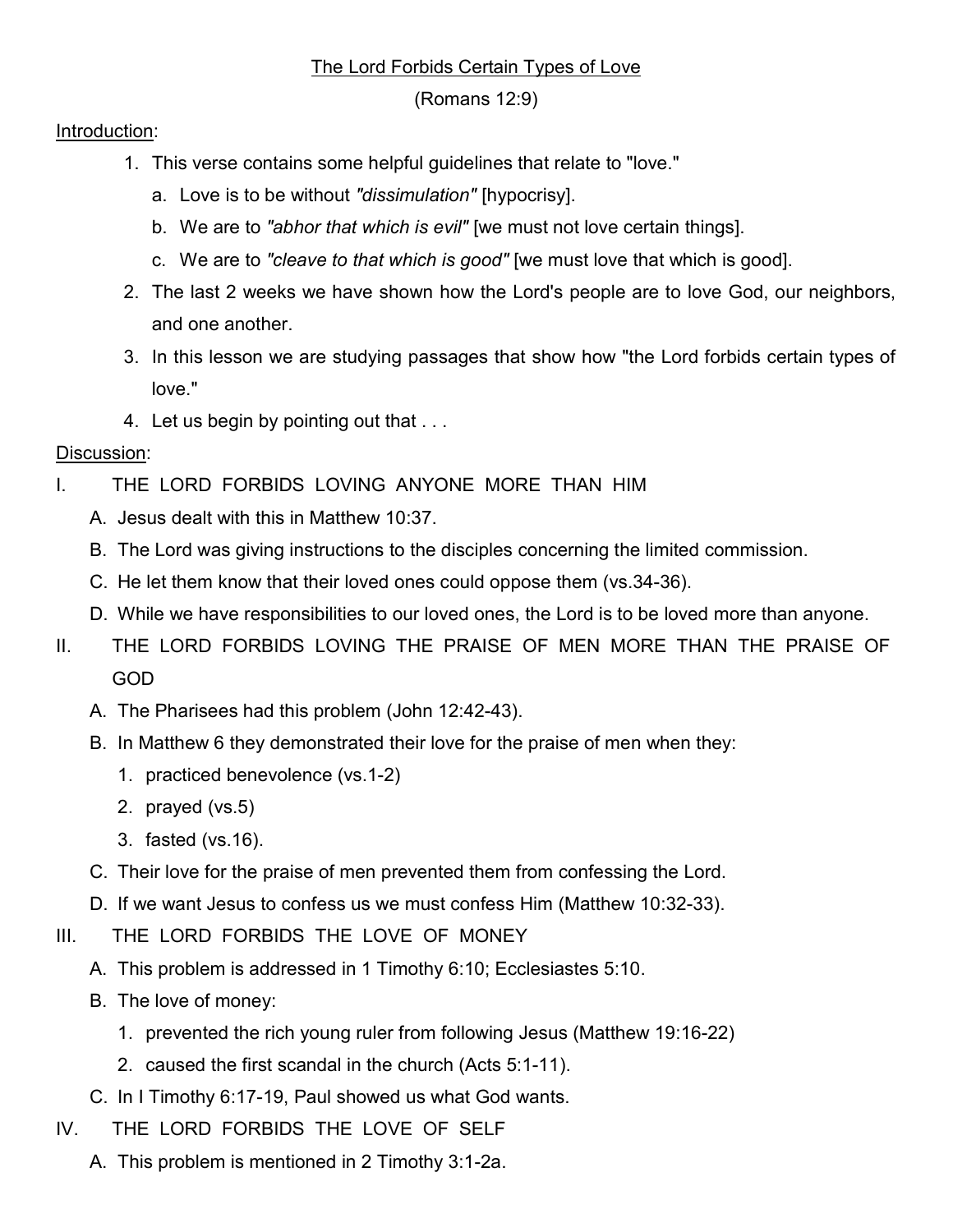## The Lord Forbids Certain Types of Love

(Romans 12:9)

## Introduction:

- 1. This verse contains some helpful guidelines that relate to "love."
	- a. Love is to be without "dissimulation" [hypocrisy].
	- b. We are to "abhor that which is evil" [we must not love certain things].
	- c. We are to "cleave to that which is good" [we must love that which is good].
- 2. The last 2 weeks we have shown how the Lord's people are to love God, our neighbors, and one another.
- 3. In this lesson we are studying passages that show how "the Lord forbids certain types of love."
- 4. Let us begin by pointing out that . . .

## Discussion:

- I. THE LORD FORBIDS LOVING ANYONE MORE THAN HIM
	- A. Jesus dealt with this in Matthew 10:37.
	- B. The Lord was giving instructions to the disciples concerning the limited commission.
	- C. He let them know that their loved ones could oppose them (vs.34-36).
	- D. While we have responsibilities to our loved ones, the Lord is to be loved more than anyone.
- II. THE LORD FORBIDS LOVING THE PRAISE OF MEN MORE THAN THE PRAISE OF GOD
	- A. The Pharisees had this problem (John 12:42-43).
	- B. In Matthew 6 they demonstrated their love for the praise of men when they:
		- 1. practiced benevolence (vs.1-2)
		- 2. prayed (vs.5)
		- 3. fasted (vs.16).
	- C. Their love for the praise of men prevented them from confessing the Lord.
	- D. If we want Jesus to confess us we must confess Him (Matthew 10:32-33).
- III. THE LORD FORBIDS THE LOVE OF MONEY
	- A. This problem is addressed in 1 Timothy 6:10; Ecclesiastes 5:10.
	- B. The love of money:
		- 1. prevented the rich young ruler from following Jesus (Matthew 19:16-22)
		- 2. caused the first scandal in the church (Acts 5:1-11).
	- C. In I Timothy 6:17-19, Paul showed us what God wants.
- IV. THE LORD FORBIDS THE LOVE OF SELF
	- A. This problem is mentioned in 2 Timothy 3:1-2a.